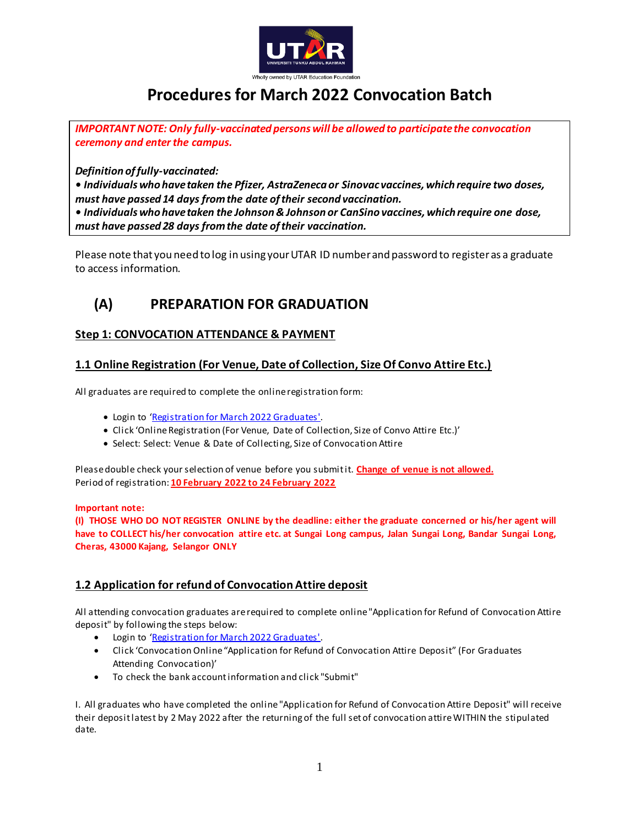

# **Procedures for March 2022 Convocation Batch**

*IMPORTANT NOTE: Only fully-vaccinated persons will be allowed to participate the convocation ceremony and enter the campus.*

*Definition of fully-vaccinated:*

*• Individuals who have taken the Pfizer, AstraZeneca or Sinovac vaccines, which require two doses, must have passed 14 days from the date of their second vaccination.*

*• Individuals who have taken the Johnson & Johnson or CanSino vaccines, which require one dose, must have passed 28 days from the date of their vaccination.*

Please note that you need to log in using your UTAR ID number and password to register as a graduate to access information.

# **(A) PREPARATION FOR GRADUATION**

# **Step 1: CONVOCATION ATTENDANCE & PAYMENT**

# **1.1 Online Registration (For Venue, Date of Collection, Size Of Convo Attire Etc.)**

All graduates are required to complete the online registration form:

- Login to '[Registration for March 2022 Graduates'.](https://e-convo2021.utar.edu.my/login.php)
- Click 'Online Registration (For Venue, Date of Collection, Size of Convo Attire Etc.)'
- Select: Select: Venue & Date of Collecting, Size of Convocation Attire

Please double check your selection of venue before you submit it. **Change of venue is not allowed.** Period of registration: **10 February 2022 to 24 February 2022**

### **Important note:**

**(I) THOSE WHO DO NOT REGISTER ONLINE by the deadline: either the graduate concerned or his/her agent will have to COLLECT his/her convocation attire etc. at Sungai Long campus, Jalan Sungai Long, Bandar Sungai Long, Cheras, 43000 Kajang, Selangor ONLY**

# **1.2 Application for refund of Convocation Attire deposit**

All attending convocation graduates are required to complete online "Application for Refund of Convocation Attire deposit" by following the steps below:

- Login to '[Registration for March 2022 Graduates'.](https://e-convo2021.utar.edu.my/login.php)
- Click 'Convocation Online "Application for Refund of Convocation Attire Deposit" (For Graduates Attending Convocation)'
- To check the bank account information and click "Submit"

I. All graduates who have completed the online "Application for Refund of Convocation Attire Deposit" will receive their deposit latest by 2 May 2022 after the returning of the full set of convocation attire WITHIN the stipulated date.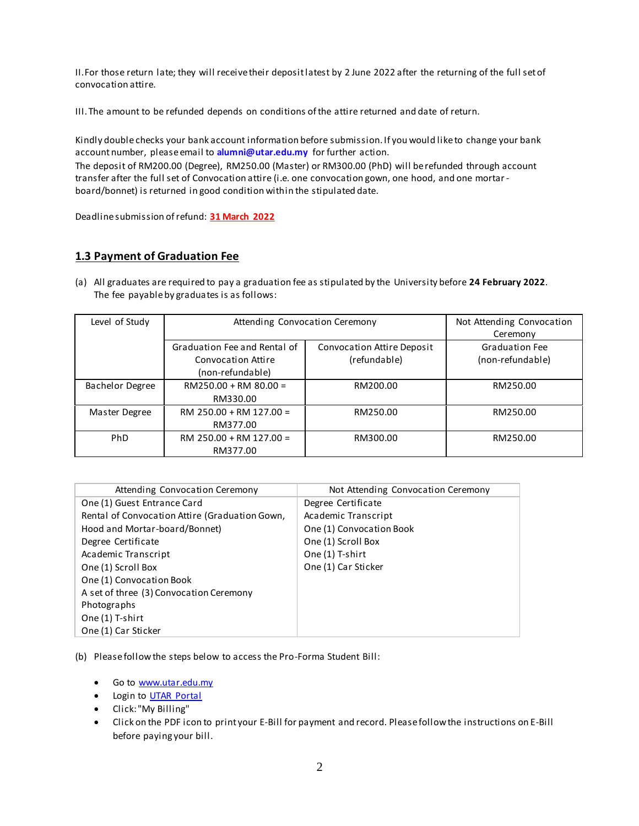II.For those return late; they will receive their deposit latest by 2 June 2022 after the returning of the full set of convocation attire.

III. The amount to be refunded depends on conditions of the attire returned and date of return.

Kindly double checks your bank account information before submission. If you would like to change your bank account number, please email to **alumni@utar.edu.my** for further action. The deposit of RM200.00 (Degree), RM250.00 (Master) or RM300.00 (PhD) will be refunded through account transfer after the full set of Convocation attire (i.e. one convocation gown, one hood, and one mortarboard/bonnet) is returned in good condition within the stipulated date.

Deadline submission of refund: **31 March 2022**

# **1.3 Payment of Graduation Fee**

(a) All graduates are required to pay a graduation fee as stipulated by the University before **24 February 2022**. The fee payable by graduates is as follows:

| Level of Study         | Attending Convocation Ceremony                     |                                            | Not Attending Convocation<br>Ceremony     |
|------------------------|----------------------------------------------------|--------------------------------------------|-------------------------------------------|
|                        | Graduation Fee and Rental of<br>Convocation Attire | Convocation Attire Deposit<br>(refundable) | <b>Graduation Fee</b><br>(non-refundable) |
|                        | (non-refundable)                                   |                                            |                                           |
| <b>Bachelor Degree</b> | $RM250.00 + RM 80.00 =$                            | RM200.00                                   | RM250.00                                  |
|                        | RM330.00                                           |                                            |                                           |
| Master Degree          | $RM$ 250.00 + RM 127.00 =                          | RM250.00                                   | RM250.00                                  |
|                        | RM377.00                                           |                                            |                                           |
| <b>PhD</b>             | RM 250.00 + RM 127.00 =                            | RM300.00                                   | RM250.00                                  |
|                        | RM377.00                                           |                                            |                                           |

| Attending Convocation Ceremony                 | Not Attending Convocation Ceremony |
|------------------------------------------------|------------------------------------|
| One (1) Guest Entrance Card                    | Degree Certificate                 |
| Rental of Convocation Attire (Graduation Gown, | Academic Transcript                |
| Hood and Mortar-board/Bonnet)                  | One (1) Convocation Book           |
| Degree Certificate                             | One (1) Scroll Box                 |
| Academic Transcript                            | One (1) T-shirt                    |
| One (1) Scroll Box                             | One (1) Car Sticker                |
| One (1) Convocation Book                       |                                    |
| A set of three (3) Convocation Ceremony        |                                    |
| Photographs                                    |                                    |
| One (1) T-shirt                                |                                    |
| One (1) Car Sticker                            |                                    |
|                                                |                                    |

(b) Please follow the steps below to access the Pro-Forma Student Bill:

- Go to [www.utar.edu.my](file:///C:/Users/lsjen/Downloads/www.utar.edu.my)
- Login to [UTAR Portal](https://portal.utar.edu.my/)
- Click: "My Billing"
- Click on the PDF icon to print your E-Bill for payment and record. Please follow the instructions on E-Bill before paying your bill.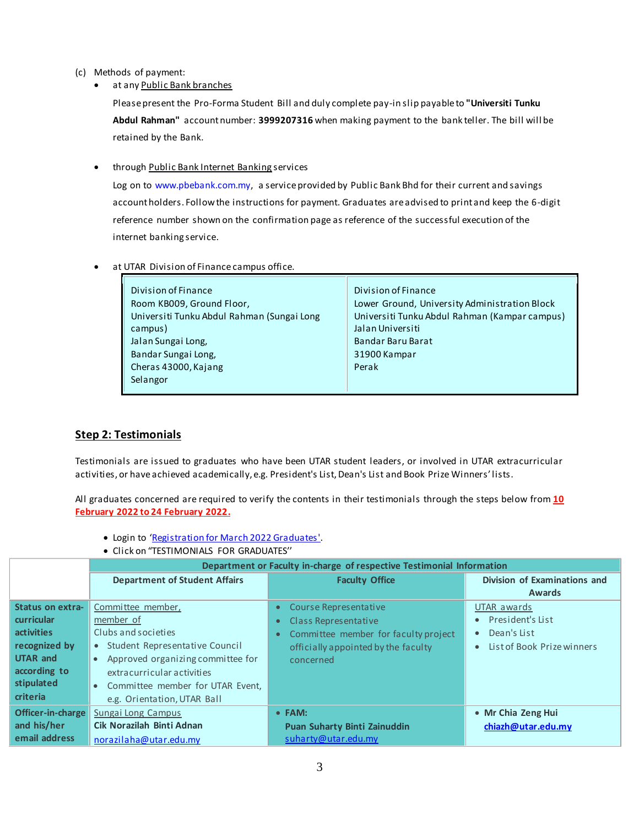- (c) Methods of payment:
	- at any Public Bank branches

Please present the Pro-Forma Student Bill and duly complete pay-in slip payable to **"Universiti Tunku Abdul Rahman"** account number: **3999207316** when making payment to the bank teller. The bill will be retained by the Bank.

**•** through **Public Bank Internet Banking services** 

Log on to www.pbebank.com.my, a service provided by Public Bank Bhd for their current and savings account holders. Follow the instructions for payment. Graduates are advised to print and keep the 6-digit reference number shown on the confirmation page as reference of the successful execution of the internet banking service.

at UTAR Division of Finance campus office.

| Division of Finance                        | Division of Finance                           |
|--------------------------------------------|-----------------------------------------------|
| Room KB009, Ground Floor,                  | Lower Ground, University Administration Block |
| Universiti Tunku Abdul Rahman (Sungai Long | Universiti Tunku Abdul Rahman (Kampar campus) |
| campus)                                    | Jalan Universiti                              |
| Jalan Sungai Long,                         | Bandar Baru Barat                             |
| Bandar Sungai Long,                        | 31900 Kampar                                  |
| Cheras 43000, Kajang                       | Perak                                         |
| Selangor                                   |                                               |

### **Step 2: Testimonials**

Testimonials are issued to graduates who have been UTAR student leaders, or involved in UTAR extracurricular activities, or have achieved academically, e.g. President's List, Dean's List and Book Prize Winners' lists.

All graduates concerned are required to verify the contents in their testimonials through the steps below from **10 February 2022 to 24 February 2022.**

- Login to '[Registration for March 2022 Graduates'.](https://e-convo2021.utar.edu.my/login.php)
- Click on "TESTIMONIALS FOR GRADUATES''

|                   | Department or Faculty in-charge of respective Testimonial Information |                                      |                                     |  |
|-------------------|-----------------------------------------------------------------------|--------------------------------------|-------------------------------------|--|
|                   | <b>Department of Student Affairs</b>                                  | <b>Faculty Office</b>                | <b>Division of Examinations and</b> |  |
|                   |                                                                       |                                      | <b>Awards</b>                       |  |
| Status on extra-  | Committee member,                                                     | Course Representative<br>$\bullet$   | UTAR awards                         |  |
| curricular        | member of                                                             | Class Representative                 | President's List                    |  |
| <b>activities</b> | Clubs and societies                                                   | Committee member for faculty project | Dean's List                         |  |
| recognized by     | Student Representative Council<br>$\bullet$                           | officially appointed by the faculty  | List of Book Prize winners          |  |
| <b>UTAR and</b>   | Approved organizing committee for                                     | concerned                            |                                     |  |
| according to      | extracurricular activities                                            |                                      |                                     |  |
| stipulated        | Committee member for UTAR Event,<br>$\bullet$                         |                                      |                                     |  |
| criteria          | e.g. Orientation, UTAR Ball                                           |                                      |                                     |  |
| Officer-in-charge | Sungai Long Campus                                                    | • FAM:                               | • Mr Chia Zeng Hui                  |  |
| and his/her       | Cik Norazilah Binti Adnan                                             | <b>Puan Suharty Binti Zainuddin</b>  | chiazh@utar.edu.my                  |  |
| email address     | norazilaha@utar.edu.my                                                | suharty@utar.edu.my                  |                                     |  |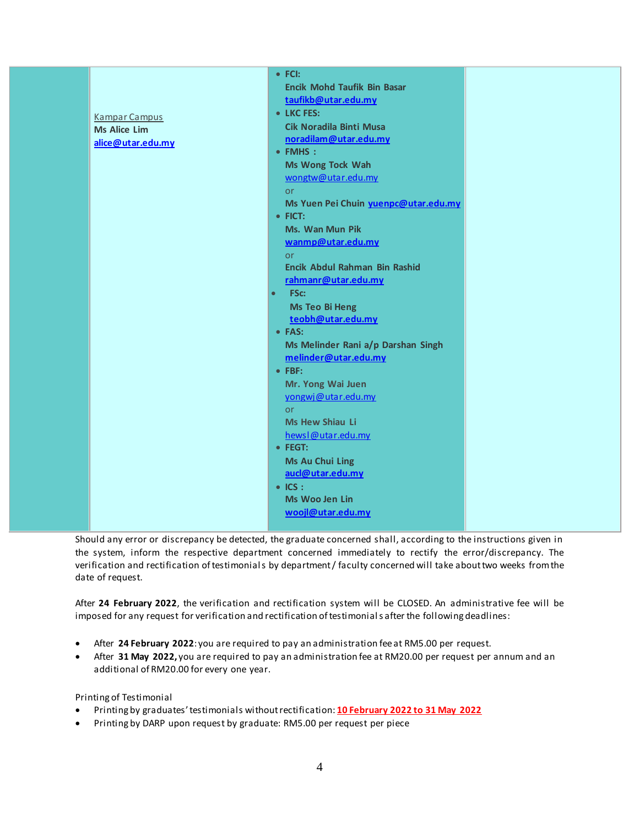| <b>Kampar Campus</b><br><b>Ms Alice Lim</b><br>alice@utar.edu.my | $\bullet$ FCI:<br><b>Encik Mohd Taufik Bin Basar</b><br>taufikb@utar.edu.my<br>• LKC FES:<br>Cik Noradila Binti Musa<br>noradilam@utar.edu.my<br>• FMHS :<br>Ms Wong Tock Wah<br>wongtw@utar.edu.my<br><b>or</b><br>Ms Yuen Pei Chuin yuenpc@utar.edu.my<br>$\bullet$ FICT:<br>Ms. Wan Mun Pik<br>wanmp@utar.edu.my<br><b>or</b><br>Encik Abdul Rahman Bin Rashid<br>rahmanr@utar.edu.my<br>FSc:<br>$\bullet$<br><b>Ms Teo Bi Heng</b><br>teobh@utar.edu.my<br>• FAS:<br>Ms Melinder Rani a/p Darshan Singh<br>melinder@utar.edu.my<br>$\bullet$ FBF:<br>Mr. Yong Wai Juen<br>yongwj@utar.edu.my<br><b>or</b><br>Ms Hew Shiau Li |  |
|------------------------------------------------------------------|----------------------------------------------------------------------------------------------------------------------------------------------------------------------------------------------------------------------------------------------------------------------------------------------------------------------------------------------------------------------------------------------------------------------------------------------------------------------------------------------------------------------------------------------------------------------------------------------------------------------------------|--|
|                                                                  | hewsl@utar.edu.my<br>· FEGT:<br><b>Ms Au Chui Ling</b>                                                                                                                                                                                                                                                                                                                                                                                                                                                                                                                                                                           |  |
|                                                                  | aucl@utar.edu.my<br>$\bullet$ ICS :<br><b>Ms Woo Jen Lin</b><br>woojl@utar.edu.my                                                                                                                                                                                                                                                                                                                                                                                                                                                                                                                                                |  |

Should any error or discrepancy be detected, the graduate concerned shall, according to the instructions given in the system, inform the respective department concerned immediately to rectify the error/discrepancy. The verification and rectification of testimonials by department / faculty concerned will take about two weeks from the date of request.

After **24 February 2022**, the verification and rectification system will be CLOSED. An administrative fee will be imposed for any request for verification and rectification of testimonials after the following deadlines:

- After **24 February 2022**: you are required to pay an administration fee at RM5.00 per request.
- After **31 May 2022,** you are required to pay an administration fee at RM20.00 per request per annum and an additional of RM20.00 for every one year.

Printing of Testimonial

- Printing by graduates'testimonials without rectification: **10 February 2022 to 31 May 2022**
- Printing by DARP upon request by graduate: RM5.00 per request per piece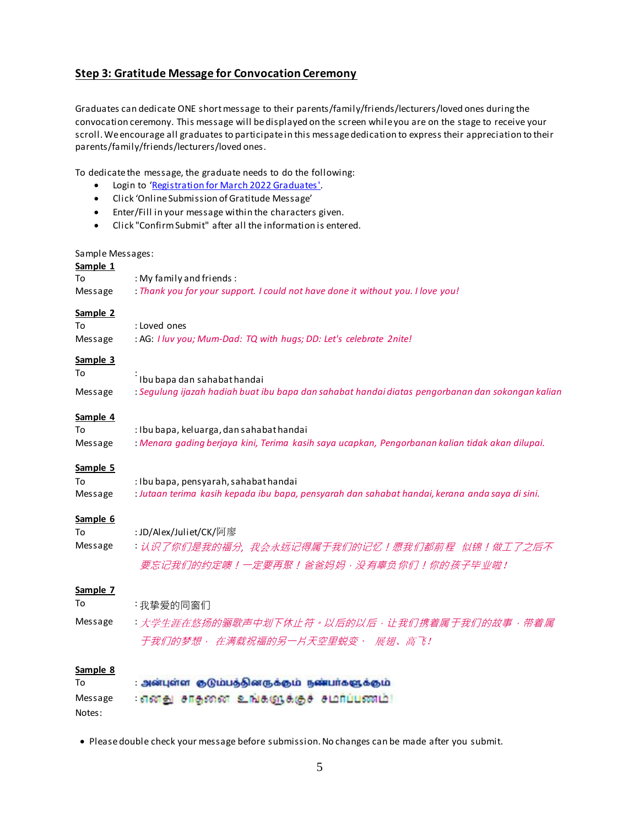# **Step 3: Gratitude Message for Convocation Ceremony**

Graduates can dedicate ONE short message to their parents/family/friends/lecturers/loved ones during the convocation ceremony. This message will be displayed on the screen while you are on the stage to receive your scroll. We encourage all graduates to participate in this message dedication to express their appreciation to their parents/family/friends/lecturers/loved ones.

To dedicate the message, the graduate needs to do the following:

- Login to '[Registration for March 2022 Graduates'.](https://e-convo2021.utar.edu.my/login.php)
- Click 'Online Submission of Gratitude Message'
- Enter/Fill in your message within the characters given.
- Click "Confirm Submit" after all the information is entered.

### Sample Messages:

| Sample 1 |                                                                                                  |
|----------|--------------------------------------------------------------------------------------------------|
| То       | : My family and friends:                                                                         |
| Message  | : Thank you for your support. I could not have done it without you. I love you!                  |
|          |                                                                                                  |
| Sample 2 |                                                                                                  |
| To       | : Loved ones                                                                                     |
| Message  | : AG: I luv you; Mum-Dad: TQ with hugs; DD: Let's celebrate 2nite!                               |
| Sample 3 |                                                                                                  |
| To       |                                                                                                  |
|          | Ibu bapa dan sahabat handai                                                                      |
| Message  | : Segulung ijazah hadiah buat ibu bapa dan sahabat handai diatas pengorbanan dan sokongan kalian |
| Sample 4 |                                                                                                  |
| To       | : Ibu bapa, keluarga, dan sahabat handai                                                         |
| Message  | : Menara gading berjaya kini, Terima kasih saya ucapkan, Pengorbanan kalian tidak akan dilupai.  |
|          |                                                                                                  |
| Sample 5 |                                                                                                  |
| To       | : Ibu bapa, pensyarah, sahabat handai                                                            |
| Message  | : Jutaan terima kasih kepada ibu bapa, pensyarah dan sahabat handai, kerana anda saya di sini.   |
| Sample 6 |                                                                                                  |
| To       | : JD/Alex/Juliet/CK/阿廖                                                                           |
| Message  | :认识了你们是我的福分,我会永远记得属于我们的记忆!愿我们都前程 似锦!做工了之后不                                                       |
|          | 要忘记我们的约定噢!一定要再聚!爸爸妈妈,没有辜负你们!你的孩子毕业啦!                                                             |
|          |                                                                                                  |
| Sample 7 |                                                                                                  |
| To       | :我挚爱的同窗们                                                                                         |
| Message  | :大学生涯在悠扬的骊歌声中划下休止符。以后的以后,让我们携着属于我们的故事,带着属                                                        |
|          | 于我们的梦想, 在满载祝福的另一片天空里蜕变、 展翅、高飞!                                                                   |
|          |                                                                                                  |
| Sample 8 |                                                                                                  |
| To       | அன்புள்ள குடும்பத்தினருக்கும் நண்பர்களுக்கும்                                                    |
| Message  | எனது சாதனை உங்களுக்குச் சமாப்பணம்!                                                               |
|          |                                                                                                  |

Notes:

Please double check your message before submission. No changes can be made after you submit.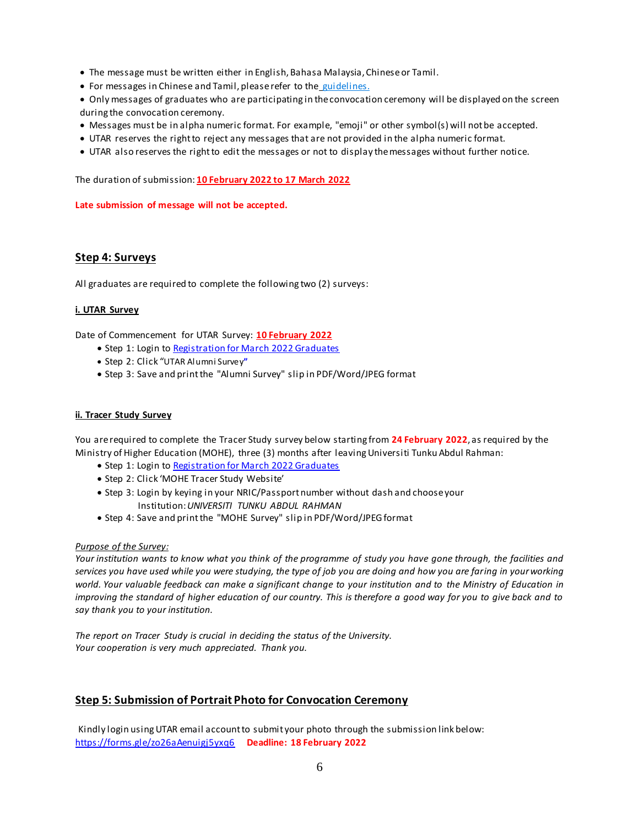- The message must be written either in English, Bahasa Malaysia, Chinese or Tamil.
- For messages in Chinese and Tamil, please refer to the [guidelines.](http://www2.utar.edu.my/utarconvo/file/howToinputChineseTamil.pdf)
- Only messages of graduates who are participating in the convocation ceremony will be displayed on the screen during the convocation ceremony.
- Messages must be in alpha numeric format. For example, "emoji" or other symbol(s) will not be accepted.
- UTAR reserves the right to reject any messages that are not provided in the alpha numeric format.
- UTAR also reserves the right to edit the messages or not to display the messages without further notice.

The duration of submission: **10 February 2022 to 17 March 2022**

**Late submission of message will not be accepted.**

### **Step 4: Surveys**

All graduates are required to complete the following two (2) surveys:

### **i. UTAR Survey**

Date of Commencement for UTAR Survey: **10 February 2022**

- Step 1: Login t[o Registration for March 2022 Graduates](https://e-convo2021.utar.edu.my/login.php)
- Step 2: Click "UTAR Alumni Survey**"**
- Step 3: Save and print the "Alumni Survey" slip in PDF/Word/JPEG format

### **ii. Tracer Study Survey**

You are required to complete the Tracer Study survey below starting from **24 February 2022**, as required by the Ministry of Higher Education (MOHE), three (3) months after leaving Universiti Tunku Abdul Rahman:

- Step 1: Login t[o Registration for March 2022 Graduates](https://e-convo2021.utar.edu.my/login.php)
- Step 2: Click 'MOHE Tracer Study Website'
- Step 3: Login by keying in your NRIC/Passport number without dash and choose your Institution:*UNIVERSITI TUNKU ABDUL RAHMAN*
- Step 4: Save and print the "MOHE Survey" slip in PDF/Word/JPEG format

### *Purpose of the Survey:*

*Your institution wants to know what you think of the programme of study you have gone through, the facilities and services you have used while you were studying, the type of job you are doing and how you are faring in your working world. Your valuable feedback can make a significant change to your institution and to the Ministry of Education in improving the standard of higher education of our country. This is therefore a good way for you to give back and to say thank you to your institution.*

*The report on Tracer Study is crucial in deciding the status of the University. Your cooperation is very much appreciated. Thank you.*

# **Step 5: Submission of Portrait Photo for Convocation Ceremony**

Kindly login using UTAR email account to submit your photo through the submission link below: <https://forms.gle/zo26aAenuigj5yxq6> **Deadline: 18 February 2022**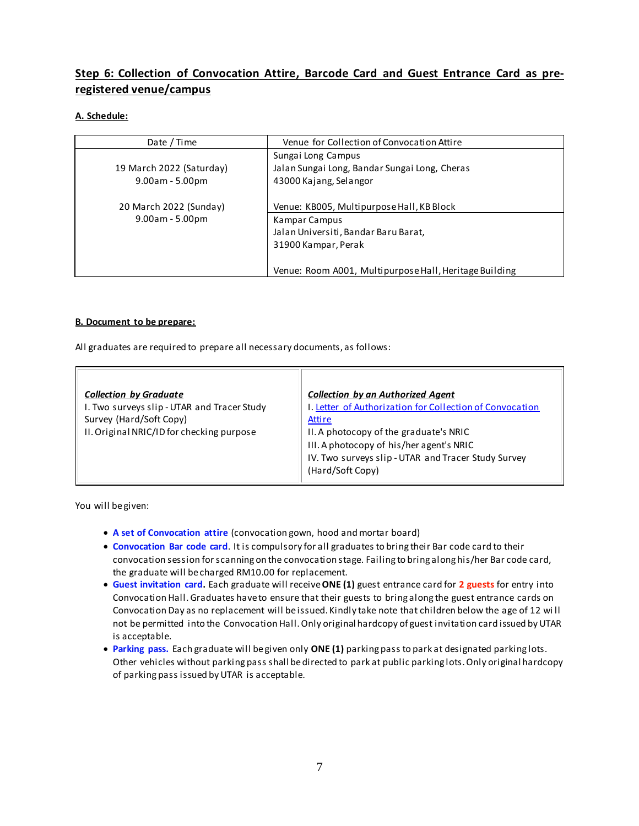# **Step 6: Collection of Convocation Attire, Barcode Card and Guest Entrance Card as preregistered venue/campus**

### **A. Schedule:**

| Date / Time                                                             | Venue for Collection of Convocation Attire                                                                                                 |
|-------------------------------------------------------------------------|--------------------------------------------------------------------------------------------------------------------------------------------|
| 19 March 2022 (Saturday)<br>$9.00am - 5.00pm$<br>20 March 2022 (Sunday) | Sungai Long Campus<br>Jalan Sungai Long, Bandar Sungai Long, Cheras<br>43000 Kajang, Selangor<br>Venue: KB005, Multipurpose Hall, KB Block |
| $9.00am - 5.00pm$                                                       | Kampar Campus<br>Jalan Universiti, Bandar Baru Barat,<br>31900 Kampar, Perak<br>Venue: Room A001, Multipurpose Hall, Heritage Building     |

### **B. Document to be prepare:**

All graduates are required to prepare all necessary documents, as follows:

| <b>Collection by Graduate</b><br>I. Two surveys slip - UTAR and Tracer Study | <b>Collection by an Authorized Agent</b><br>I. Letter of Authorization for Collection of Convocation |
|------------------------------------------------------------------------------|------------------------------------------------------------------------------------------------------|
| Survey (Hard/Soft Copy)                                                      | <b>Attire</b>                                                                                        |
| II. Original NRIC/ID for checking purpose                                    | II. A photocopy of the graduate's NRIC                                                               |
|                                                                              | III. A photocopy of his/her agent's NRIC                                                             |
|                                                                              | IV. Two surveys slip - UTAR and Tracer Study Survey<br>(Hard/Soft Copy)                              |

You will be given:

- **A set of Convocation attire** (convocation gown, hood and mortar board)
- **Convocation Bar code card**. It is compulsory for all graduates to bring their Bar code card to their convocation session for scanning on the convocation stage. Failing to bring along his/her Bar code card, the graduate will be charged RM10.00 for replacement.
- **Guest invitation card.** Each graduate will receive**ONE (1)** guest entrance card for **2 guests** for entry into Convocation Hall. Graduates have to ensure that their guests to bring along the guest entrance cards on Convocation Day as no replacement will be issued. Kindly take note that children below the age of 12 wi ll not be permitted into the Convocation Hall. Only original hardcopy of guest invitation card issued by UTAR is acceptable.
- **Parking pass.** Each graduate will be given only **ONE (1)** parking pass to park at designated parking lots. Other vehicles without parking pass shall be directed to park at public parking lots. Only original hardcopy of parking pass issued by UTAR is acceptable.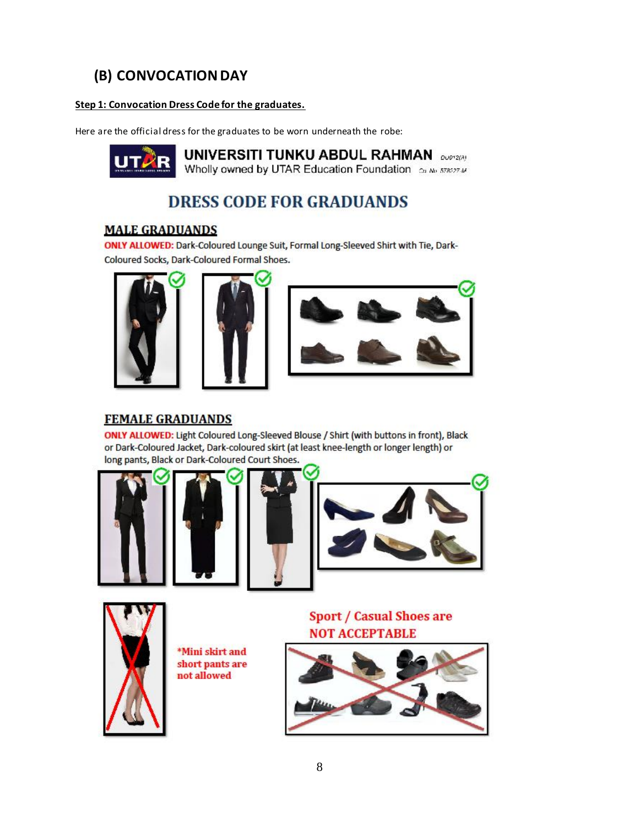# **(B) CONVOCATION DAY**

### **Step 1: Convocation Dress Code for the graduates.**

Here are the official dress for the graduates to be worn underneath the robe:



**UNIVERSITI TUNKU ABDUL RAHMAN** DUPTER! Wholly owned by UTAR Education Foundation ca No 578277.4

# **DRESS CODE FOR GRADUANDS**

# **MALE GRADUANDS**

ONLY ALLOWED: Dark-Coloured Lounge Suit, Formal Long-Sleeved Shirt with Tie, Dark-Coloured Socks, Dark-Coloured Formal Shoes.







# **FEMALE GRADUANDS**

ONLY ALLOWED: Light Coloured Long-Sleeved Blouse / Shirt (with buttons in front), Black or Dark-Coloured Jacket, Dark-coloured skirt (at least knee-length or longer length) or long pants, Black or Dark-Coloured Court Shoes.









\*Mini skirt and short pants are not allowed

**Sport / Casual Shoes are NOT ACCEPTABLE** 

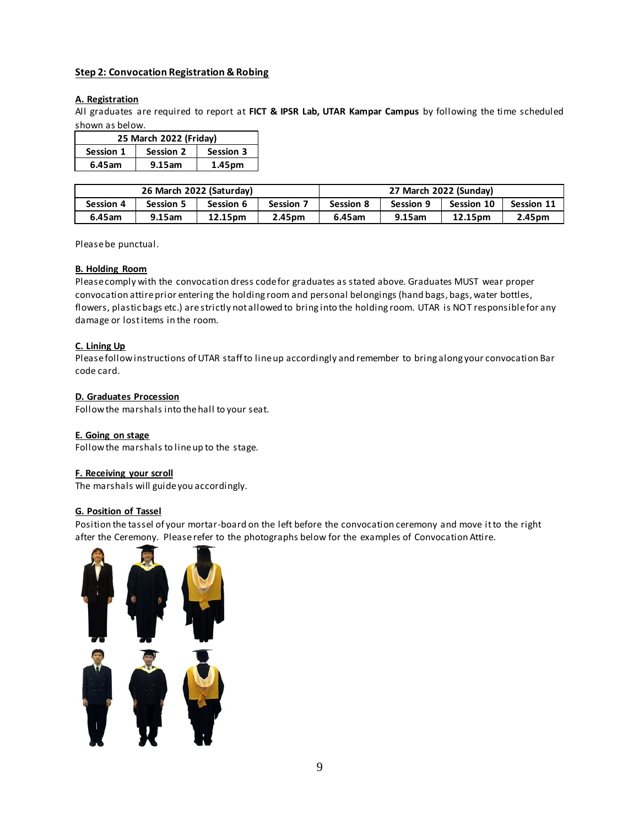### **Step 2: Convocation Registration & Robing**

### **A. Registration**

All graduates are required to report at **FICT & IPSR Lab, UTAR Kampar Campus** by following the time scheduled shown as below.

| 25 March 2022 (Friday) |                               |        |  |
|------------------------|-------------------------------|--------|--|
| Session 1              | Session 3<br><b>Session 2</b> |        |  |
| 6.45am                 | 9.15am                        | 1.45pm |  |

| 26 March 2022 (Saturday) |                  |           |           | 27 March 2022 (Sunday) |                  |                   |                   |
|--------------------------|------------------|-----------|-----------|------------------------|------------------|-------------------|-------------------|
| <b>Session 4</b>         | <b>Session 5</b> | Session 6 | Session 7 | <b>Session 8</b>       | <b>Session 9</b> | <b>Session 10</b> | <b>Session 11</b> |
| 6.45am                   | 9.15am           | 12.15pm   | 2.45pm    | 6.45am                 | 9.15am           | 12.15pm           | 2.45pm            |

Please be punctual.

### **B. Holding Room**

Please comply with the convocation dress code for graduates as stated above. Graduates MUST wear proper convocation attire prior entering the holding room and personal belongings (hand bags, bags, water bottles, flowers, plastic bags etc.) are strictly not allowed to bring into the holding room. UTAR is NOT responsible for any damage or lost items in the room.

### **C. Lining Up**

Please follow instructions of UTAR staff to line up accordingly and remember to bring along your convocation Bar code card.

### **D. Graduates Procession**

Follow the marshals into the hall to your seat.

### **E. Going on stage**

Follow the marshals to line up to the stage.

### **F. Receiving your scroll**

The marshals will guide you accordingly.

### **G. Position of Tassel**

Position the tassel of your mortar-board on the left before the convocation ceremony and move it to the right after the Ceremony. Please refer to the photographs below for the examples of Convocation Attire.

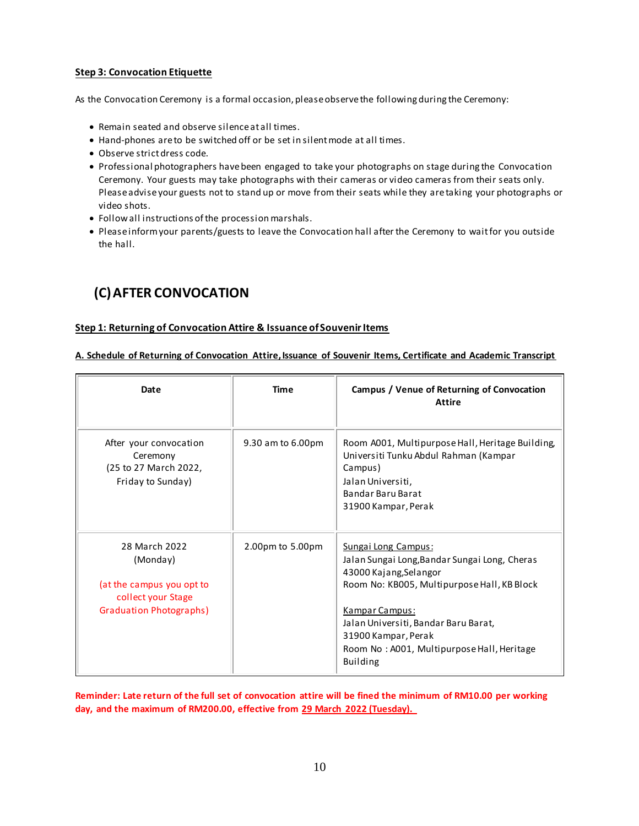### **Step 3: Convocation Etiquette**

As the Convocation Ceremony is a formal occasion, please observe the following during the Ceremony:

- Remain seated and observe silence at all times.
- Hand-phones are to be switched off or be set in silent mode at all times.
- Observe strict dress code.
- Professional photographers have been engaged to take your photographs on stage during the Convocation Ceremony. Your guests may take photographs with their cameras or video cameras from their seats only. Please advise your guests not to stand up or move from their seats while they are taking your photographs or video shots.
- Follow all instructions of the procession marshals.
- Please inform your parents/guests to leave the Convocation hall after the Ceremony to wait for you outside the hall.

# **(C)AFTER CONVOCATION**

### **Step 1: Returning of Convocation Attire & Issuance of Souvenir Items**

**A. Schedule of Returning of Convocation Attire, Issuance of Souvenir Items, Certificate and Academic Transcript**

| Date                                                                                                           | Time              | Campus / Venue of Returning of Convocation<br>Attire                                                                                                                                                                                                                                            |
|----------------------------------------------------------------------------------------------------------------|-------------------|-------------------------------------------------------------------------------------------------------------------------------------------------------------------------------------------------------------------------------------------------------------------------------------------------|
| After your convocation<br>Ceremony<br>(25 to 27 March 2022,<br>Friday to Sunday)                               | 9.30 am to 6.00pm | Room A001, Multipurpose Hall, Heritage Building,<br>Universiti Tunku Abdul Rahman (Kampar<br>Campus)<br>Jalan Universiti,<br>Bandar Baru Barat<br>31900 Kampar, Perak                                                                                                                           |
| 28 March 2022<br>(Monday)<br>(at the campus you opt to<br>collect your Stage<br><b>Graduation Photographs)</b> | 2.00pm to 5.00pm  | Sungai Long Campus:<br>Jalan Sungai Long, Bandar Sungai Long, Cheras<br>43000 Kajang, Selangor<br>Room No: KB005, Multipurpose Hall, KB Block<br>Kampar Campus:<br>Jalan Universiti, Bandar Baru Barat,<br>31900 Kampar, Perak<br>Room No: A001, Multipurpose Hall, Heritage<br><b>Building</b> |

**Reminder: Late return of the full set of convocation attire will be fined the minimum of RM10.00 per working day, and the maximum of RM200.00, effective from 29 March 2022 (Tuesday).**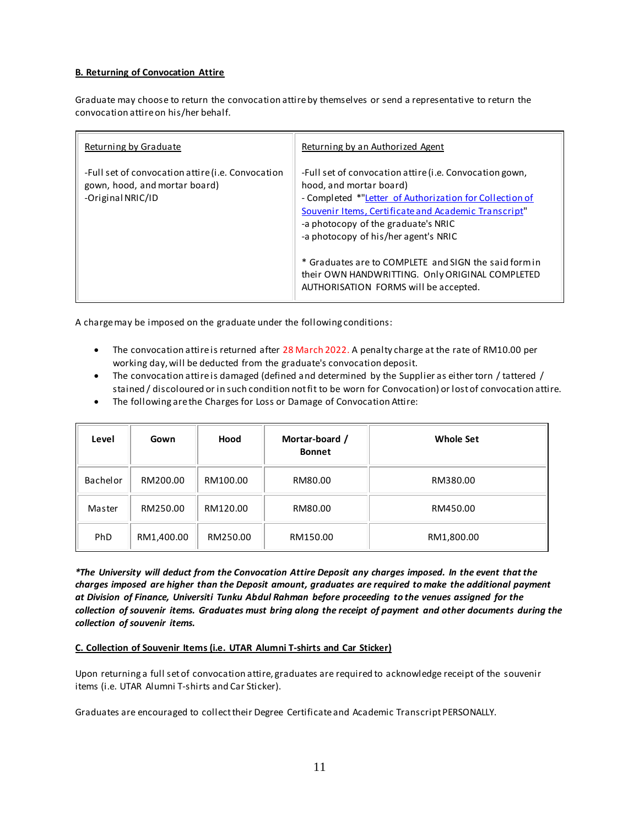### **B. Returning of Convocation Attire**

Graduate may choose to return the convocation attire by themselves or send a representative to return the convocation attire on his/her behalf.

| Returning by Graduate                                                                                   | Returning by an Authorized Agent                                                                                                                                                                                                                                                                                                                                                                                                          |
|---------------------------------------------------------------------------------------------------------|-------------------------------------------------------------------------------------------------------------------------------------------------------------------------------------------------------------------------------------------------------------------------------------------------------------------------------------------------------------------------------------------------------------------------------------------|
| -Full set of convocation attire (i.e. Convocation<br>gown, hood, and mortar board)<br>-Original NRIC/ID | -Full set of convocation attire (i.e. Convocation gown,<br>hood, and mortar board)<br>- Completed *"Letter of Authorization for Collection of<br>Souvenir Items, Certificate and Academic Transcript"<br>-a photocopy of the graduate's NRIC<br>-a photocopy of his/her agent's NRIC<br>* Graduates are to COMPLETE and SIGN the said form in<br>their OWN HANDWRITTING. Only ORIGINAL COMPLETED<br>AUTHORISATION FORMS will be accepted. |

A charge may be imposed on the graduate under the following conditions:

- The convocation attire is returned after 28 March 2022. A penalty charge at the rate of RM10.00 per working day, will be deducted from the graduate's convocation deposit.
- The convocation attire is damaged (defined and determined by the Supplier as either torn / tattered / stained / discoloured or in such condition not fit to be worn for Convocation) or lost of convocation attire.
- The following are the Charges for Loss or Damage of Convocation Attire:

| Level    | Gown       | Hood     | Mortar-board /<br><b>Bonnet</b> | <b>Whole Set</b> |
|----------|------------|----------|---------------------------------|------------------|
| Bachelor | RM200.00   | RM100.00 | RM80.00                         | RM380.00         |
| Master   | RM250.00   | RM120.00 | RM80.00                         | RM450.00         |
| PhD      | RM1,400.00 | RM250.00 | RM150.00                        | RM1,800.00       |

*\*The University will deduct from the Convocation Attire Deposit any charges imposed. In the event that the charges imposed are higher than the Deposit amount, graduates are required to make the additional payment at Division of Finance, Universiti Tunku Abdul Rahman before proceeding to the venues assigned for the collection of souvenir items. Graduates must bring along the receipt of payment and other documents during the collection of souvenir items.*

### **C. Collection of Souvenir Items (i.e. UTAR Alumni T-shirts and Car Sticker)**

Upon returning a full set of convocation attire, graduates are required to acknowledge receipt of the souvenir items (i.e. UTAR Alumni T-shirts and Car Sticker).

Graduates are encouraged to collect their Degree Certificate and Academic Transcript PERSONALLY.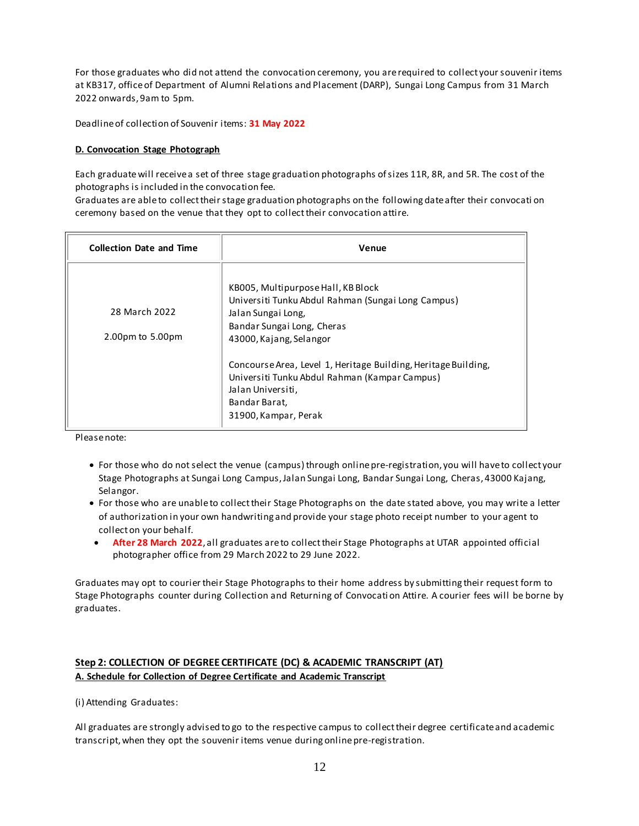For those graduates who did not attend the convocation ceremony, you are required to collect your souvenir items at KB317, office of Department of Alumni Relations and Placement (DARP), Sungai Long Campus from 31 March 2022 onwards, 9am to 5pm.

Deadline of collection of Souvenir items: **31 May 2022**

### **D. Convocation Stage Photograph**

Each graduatewill receive a set of three stage graduation photographs of sizes 11R, 8R, and 5R. The cost of the photographs is included in the convocation fee.

Graduates are able to collect their stage graduation photographs on the following date after their convocati on ceremony based on the venue that they opt to collect their convocation attire.

| <b>Collection Date and Time</b> | Venue                                                          |  |
|---------------------------------|----------------------------------------------------------------|--|
|                                 | KB005, Multipurpose Hall, KB Block                             |  |
|                                 | Universiti Tunku Abdul Rahman (Sungai Long Campus)             |  |
| 28 March 2022                   | Jalan Sungai Long,                                             |  |
|                                 | Bandar Sungai Long, Cheras                                     |  |
| 2.00pm to 5.00pm                | 43000, Kajang, Selangor                                        |  |
|                                 | Concourse Area, Level 1, Heritage Building, Heritage Building, |  |
|                                 | Universiti Tunku Abdul Rahman (Kampar Campus)                  |  |
|                                 | Jalan Universiti,                                              |  |
|                                 | Bandar Barat,                                                  |  |
|                                 | 31900, Kampar, Perak                                           |  |

Please note:

- For those who do not select the venue (campus) through online pre-registration, you will have to collect your Stage Photographs at Sungai Long Campus, Jalan Sungai Long, Bandar Sungai Long, Cheras, 43000 Kajang, Selangor.
- For those who are unable to collect their Stage Photographs on the date stated above, you may write a letter of authorization in your own handwriting and provide your stage photo receipt number to your agent to collect on your behalf.
- **After 28 March 2022**, all graduates are to collect their Stage Photographs at UTAR appointed official photographer office from 29 March 2022 to 29 June 2022.

Graduates may opt to courier their Stage Photographs to their home address by submitting their request form to Stage Photographs counter during Collection and Returning of Convocati on Attire. A courier fees will be borne by graduates.

## **Step 2: COLLECTION OF DEGREE CERTIFICATE (DC) & ACADEMIC TRANSCRIPT (AT) A. Schedule for Collection of Degree Certificate and Academic Transcript**

(i) Attending Graduates:

All graduates are strongly advised to go to the respective campus to collect their degree certificate and academic transcript, when they opt the souvenir items venue during online pre-registration.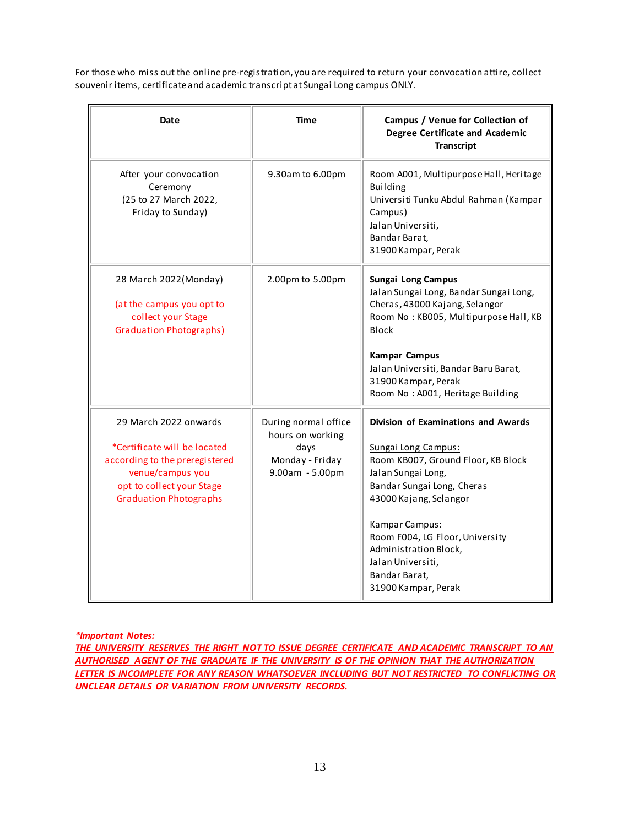For those who miss out the online pre-registration, you are required to return your convocation attire, collect souvenir items, certificate and academic transcript at Sungai Long campus ONLY.

| Date                                                                                                                                                                      | <b>Time</b>                                                                              | Campus / Venue for Collection of<br><b>Degree Certificate and Academic</b><br><b>Transcript</b>                                                                                                                                                                                                                           |
|---------------------------------------------------------------------------------------------------------------------------------------------------------------------------|------------------------------------------------------------------------------------------|---------------------------------------------------------------------------------------------------------------------------------------------------------------------------------------------------------------------------------------------------------------------------------------------------------------------------|
| After your convocation<br>Ceremony<br>(25 to 27 March 2022,<br>Friday to Sunday)                                                                                          | 9.30am to 6.00pm                                                                         | Room A001, Multipurpose Hall, Heritage<br><b>Building</b><br>Universiti Tunku Abdul Rahman (Kampar<br>Campus)<br>Jalan Universiti,<br>Bandar Barat,<br>31900 Kampar, Perak                                                                                                                                                |
| 28 March 2022(Monday)<br>(at the campus you opt to<br>collect your Stage<br><b>Graduation Photographs)</b>                                                                | 2.00pm to 5.00pm                                                                         | <b>Sungai Long Campus</b><br>Jalan Sungai Long, Bandar Sungai Long,<br>Cheras, 43000 Kajang, Selangor<br>Room No: KB005, Multipurpose Hall, KB<br><b>Block</b><br><b>Kampar Campus</b><br>Jalan Universiti, Bandar Baru Barat,<br>31900 Kampar, Perak<br>Room No: A001, Heritage Building                                 |
| 29 March 2022 onwards<br>*Certificate will be located<br>according to the preregistered<br>venue/campus you<br>opt to collect your Stage<br><b>Graduation Photographs</b> | During normal office<br>hours on working<br>days<br>Monday - Friday<br>$9.00am - 5.00pm$ | Division of Examinations and Awards<br>Sungai Long Campus:<br>Room KB007, Ground Floor, KB Block<br>Jalan Sungai Long,<br>Bandar Sungai Long, Cheras<br>43000 Kajang, Selangor<br>Kampar Campus:<br>Room F004, LG Floor, University<br>Administration Block,<br>Jalan Universiti,<br>Bandar Barat,<br>31900 Kampar, Perak |

*\*Important Notes:*

*THE UNIVERSITY RESERVES THE RIGHT NOT TO ISSUE DEGREE CERTIFICATE AND ACADEMIC TRANSCRIPT TO AN AUTHORISED AGENT OF THE GRADUATE IF THE UNIVERSITY IS OF THE OPINION THAT THE AUTHORIZATION LETTER IS INCOMPLETE FOR ANY REASON WHATSOEVER INCLUDING BUT NOT RESTRICTED TO CONFLICTING OR UNCLEAR DETAILS OR VARIATION FROM UNIVERSITY RECORDS.*